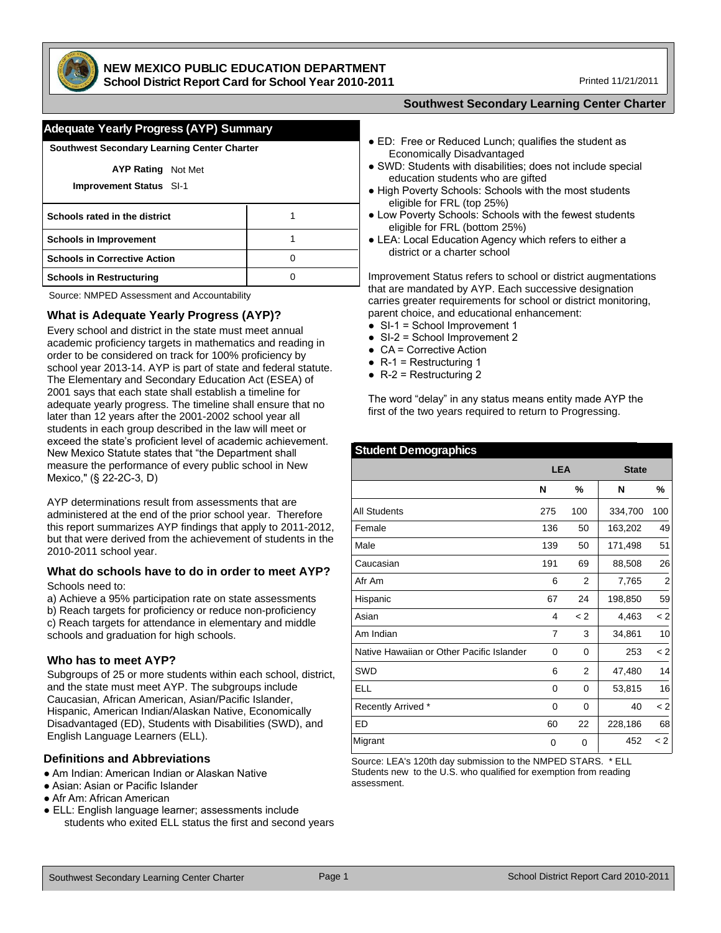

# **NEW MEXICO PUBLIC EDUCATION DEPARTMENT**

**School District Report Card for School Year 2010-2011**

Printed 11/21/2011

| <b>Southwest Secondary Learning Center Charter</b>          |  |  |  |  |  |  |  |  |
|-------------------------------------------------------------|--|--|--|--|--|--|--|--|
| <b>AYP Rating</b> Not Met<br><b>Improvement Status SI-1</b> |  |  |  |  |  |  |  |  |
| Schools rated in the district                               |  |  |  |  |  |  |  |  |
| <b>Schools in Improvement</b><br>1                          |  |  |  |  |  |  |  |  |
| <b>Schools in Corrective Action</b><br>O                    |  |  |  |  |  |  |  |  |
| <b>Schools in Restructuring</b><br>O                        |  |  |  |  |  |  |  |  |

Source: NMPED Assessment and Accountability

### **What is Adequate Yearly Progress (AYP)?**

Every school and district in the state must meet annual academic proficiency targets in mathematics and reading in order to be considered on track for 100% proficiency by school year 2013-14. AYP is part of state and federal statute. The Elementary and Secondary Education Act (ESEA) of 2001 says that each state shall establish a timeline for adequate yearly progress. The timeline shall ensure that no later than 12 years after the 2001-2002 school year all students in each group described in the law will meet or exceed the state's proficient level of academic achievement. New Mexico Statute states that "the Department shall measure the performance of every public school in New Mexico," (§ 22-2C-3, D)

AYP determinations result from assessments that are administered at the end of the prior school year. Therefore this report summarizes AYP findings that apply to 2011-2012, but that were derived from the achievement of students in the 2010-2011 school year.

#### **What do schools have to do in order to meet AYP?** Schools need to:

a) Achieve a 95% participation rate on state assessments b) Reach targets for proficiency or reduce non-proficiency c) Reach targets for attendance in elementary and middle schools and graduation for high schools.

### **Who has to meet AYP?**

Subgroups of 25 or more students within each school, district, and the state must meet AYP. The subgroups include Caucasian, African American, Asian/Pacific Islander, Hispanic, American Indian/Alaskan Native, Economically Disadvantaged (ED), Students with Disabilities (SWD), and English Language Learners (ELL).

### **Definitions and Abbreviations**

- Am Indian: American Indian or Alaskan Native
- Asian: Asian or Pacific Islander
- Afr Am: African American
- ELL: English language learner; assessments include students who exited ELL status the first and second years
- **Southwest Secondary Learning Center Charter**
- ED: Free or Reduced Lunch; qualifies the student as Economically Disadvantaged
- SWD: Students with disabilities; does not include special education students who are gifted
- High Poverty Schools: Schools with the most students eligible for FRL (top 25%)
- Low Poverty Schools: Schools with the fewest students eligible for FRL (bottom 25%)
- LEA: Local Education Agency which refers to either a district or a charter school

mprovement Status refers to school or district augmentations that are mandated by AYP. Each successive designation carries greater requirements for school or district monitoring, parent choice, and educational enhancement:

- SI-1 = School Improvement 1
- SI-2 = School Improvement 2
- $\bullet$  CA = Corrective Action
- $\bullet$  R-1 = Restructuring 1
- $\bullet$  R-2 = Restructuring 2

The word "delay" in any status means entity made AYP the first of the two years required to return to Progressing.

#### **Student Demographics**

|                                           | <b>LEA</b> |     | <b>State</b> |         |  |  |
|-------------------------------------------|------------|-----|--------------|---------|--|--|
|                                           | N          | %   | N            | %       |  |  |
| <b>All Students</b>                       | 275        | 100 | 334,700      | 100     |  |  |
| Female                                    | 136        | 50  | 163,202      | 49      |  |  |
| Male                                      | 139        | 50  | 171,498      | 51      |  |  |
| Caucasian                                 | 191        | 69  | 88,508       | 26      |  |  |
| Afr Am                                    | 6          | 2   | 7,765        | 2       |  |  |
| Hispanic                                  | 67         | 24  | 198,850      | 59      |  |  |
| Asian                                     | 4          | < 2 | 4,463        | < 2     |  |  |
| Am Indian                                 | 7          | 3   | 34,861       | 10      |  |  |
| Native Hawaiian or Other Pacific Islander | 0          | 0   | 253          | < 2     |  |  |
| SWD                                       | 6          | 2   | 47,480       | 14      |  |  |
| ELL                                       | 0          | 0   | 53,815       | 16      |  |  |
| Recently Arrived *                        | 0          | 0   | 40           | < 2     |  |  |
| ED                                        | 60         | 22  | 228,186      | 68      |  |  |
| Migrant                                   | 0          | 0   | 452          | $\lt 2$ |  |  |

Source: LEA's 120th day submission to the NMPED STARS. \* ELL Students new to the U.S. who qualified for exemption from reading assessment.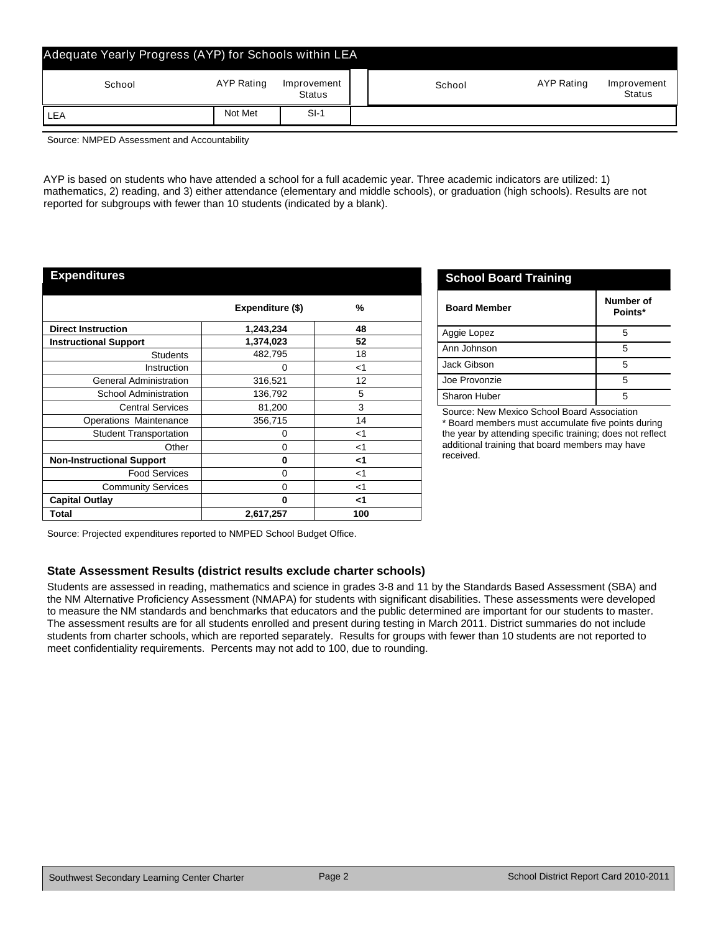| Adequate Yearly Progress (AYP) for Schools within LEA |            |                       |        |            |                              |
|-------------------------------------------------------|------------|-----------------------|--------|------------|------------------------------|
| School                                                | AYP Rating | Improvement<br>Status | School | AYP Rating | Improvement<br><b>Status</b> |
| LEA                                                   | Not Met    | $SI-1$                |        |            |                              |

Source: NMPED Assessment and Accountability

AYP is based on students who have attended a school for a full academic year. Three academic indicators are utilized: 1) mathematics, 2) reading, and 3) either attendance (elementary and middle schools), or graduation (high schools). Results are not reported for subgroups with fewer than 10 students (indicated by a blank).

### **Expenditures**

|                                  | Expenditure (\$) | %     |
|----------------------------------|------------------|-------|
| <b>Direct Instruction</b>        | 1,243,234        | 48    |
| <b>Instructional Support</b>     | 1,374,023        | 52    |
| <b>Students</b>                  | 482,795          | 18    |
| Instruction                      | 0                | $<$ 1 |
| <b>General Administration</b>    | 316,521          | 12    |
| <b>School Administration</b>     | 136,792          | 5     |
| <b>Central Services</b>          | 81,200           | 3     |
| Operations Maintenance           | 356,715          | 14    |
| <b>Student Transportation</b>    | 0                | $<$ 1 |
| Other                            | 0                | $<$ 1 |
| <b>Non-Instructional Support</b> | 0                | <1    |
| <b>Food Services</b>             | 0                | $<$ 1 |
| <b>Community Services</b>        | 0                | $<$ 1 |
| <b>Capital Outlay</b>            | 0                | <1    |
| Total                            | 2,617,257        | 100   |

|  | <b>School Board Training</b> |
|--|------------------------------|
|  |                              |

| <b>Board Member</b> | Number of<br>Points* |
|---------------------|----------------------|
| Aggie Lopez         | 5                    |
| Ann Johnson         | 5                    |
| Jack Gibson         | 5                    |
| Joe Provonzie       | 5                    |
| Sharon Huber        |                      |

Source: New Mexico School Board Association \* Board members must accumulate five points during the year by attending specific training; does not reflect additional training that board members may have received.

Source: Projected expenditures reported to NMPED School Budget Office.

### **State Assessment Results (district results exclude charter schools)**

Students are assessed in reading, mathematics and science in grades 3-8 and 11 by the Standards Based Assessment (SBA) and the NM Alternative Proficiency Assessment (NMAPA) for students with significant disabilities. These assessments were developed to measure the NM standards and benchmarks that educators and the public determined are important for our students to master. The assessment results are for all students enrolled and present during testing in March 2011. District summaries do not include students from charter schools, which are reported separately. Results for groups with fewer than 10 students are not reported to meet confidentiality requirements. Percents may not add to 100, due to rounding.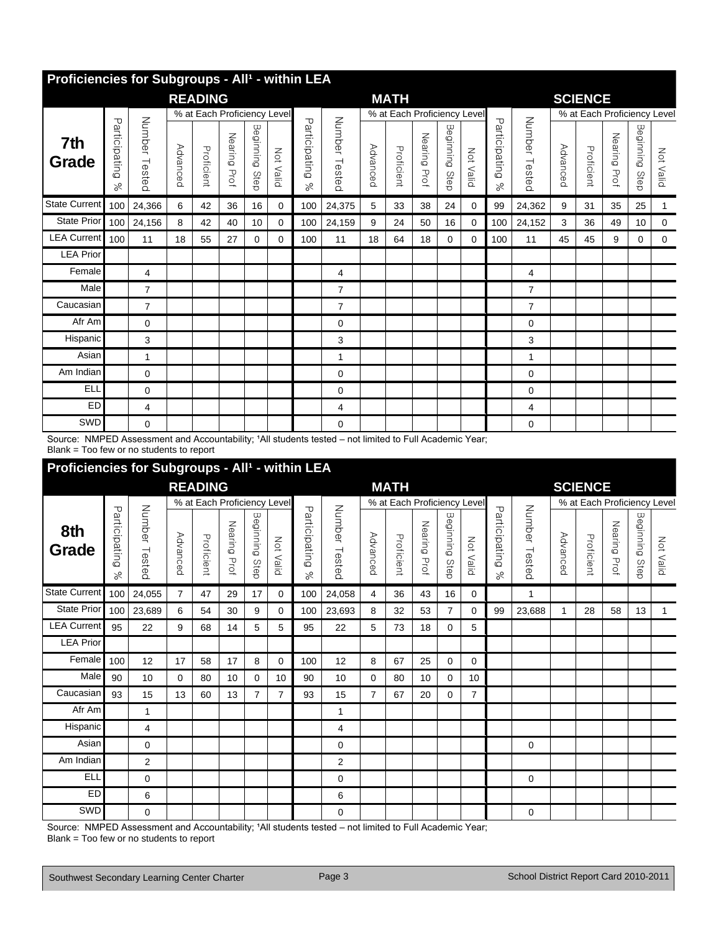|                      | Proficiencies for Subgroups - All <sup>1</sup> - within LEA |                  |          |                |              |                   |                             |                           |                  |          |                             |                 |                   |             |                       |                  |          |                             |                 |                   |           |
|----------------------|-------------------------------------------------------------|------------------|----------|----------------|--------------|-------------------|-----------------------------|---------------------------|------------------|----------|-----------------------------|-----------------|-------------------|-------------|-----------------------|------------------|----------|-----------------------------|-----------------|-------------------|-----------|
|                      |                                                             |                  |          | <b>READING</b> |              |                   |                             |                           |                  |          | <b>MATH</b>                 |                 |                   |             |                       |                  |          | <b>SCIENCE</b>              |                 |                   |           |
|                      |                                                             |                  |          |                |              |                   | % at Each Proficiency Level |                           |                  |          | % at Each Proficiency Level |                 |                   |             |                       |                  |          | % at Each Proficiency Level |                 |                   |           |
| 7th<br>Grade         | Participating<br>$\%$                                       | Number<br>Tested | Advanced | Proficient     | Nearing Prof | Beginning<br>Step | Not Valid                   | Participating<br>$\aleph$ | Number<br>Testec | Advanced | Proficient                  | Nearing<br>Prof | Beginning<br>Step | Not Valid   | Participating<br>$\%$ | Number<br>Tested | Advanced | Proficient                  | Nearing<br>Prof | Beginning<br>Step | Not Valid |
| <b>State Current</b> | 100                                                         | 24,366           | 6        | 42             | 36           | 16                | $\mathbf 0$                 | 100                       | 24,375           | 5        | 33                          | 38              | 24                | $\mathbf 0$ | 99                    | 24,362           | 9        | 31                          | 35              | 25                | 1         |
| <b>State Prior</b>   | 100                                                         | 24,156           | 8        | 42             | 40           | 10                | $\mathbf 0$                 | 100                       | 24,159           | 9        | 24                          | 50              | 16                | $\mathbf 0$ | 100                   | 24,152           | 3        | 36                          | 49              | 10                | 0         |
| <b>LEA Current</b>   | 100                                                         | 11               | 18       | 55             | 27           | 0                 | $\mathbf{0}$                | 100                       | 11               | 18       | 64                          | 18              | 0                 | $\mathbf 0$ | 100                   | 11               | 45       | 45                          | 9               | 0                 | 0         |
| <b>LEA Prior</b>     |                                                             |                  |          |                |              |                   |                             |                           |                  |          |                             |                 |                   |             |                       |                  |          |                             |                 |                   |           |
| Female               |                                                             | 4                |          |                |              |                   |                             |                           | 4                |          |                             |                 |                   |             |                       | 4                |          |                             |                 |                   |           |
| Male                 |                                                             | $\overline{7}$   |          |                |              |                   |                             |                           | 7                |          |                             |                 |                   |             |                       | $\overline{7}$   |          |                             |                 |                   |           |
| Caucasian            |                                                             | $\overline{7}$   |          |                |              |                   |                             |                           | $\overline{7}$   |          |                             |                 |                   |             |                       | $\overline{7}$   |          |                             |                 |                   |           |
| Afr Am               |                                                             | 0                |          |                |              |                   |                             |                           | 0                |          |                             |                 |                   |             |                       | $\mathbf 0$      |          |                             |                 |                   |           |
| Hispanic             |                                                             | 3                |          |                |              |                   |                             |                           | 3                |          |                             |                 |                   |             |                       | 3                |          |                             |                 |                   |           |
| Asian                |                                                             | 1                |          |                |              |                   |                             |                           | 1                |          |                             |                 |                   |             |                       | $\mathbf{1}$     |          |                             |                 |                   |           |
| Am Indian            |                                                             | 0                |          |                |              |                   |                             |                           | 0                |          |                             |                 |                   |             |                       | $\mathbf 0$      |          |                             |                 |                   |           |
| <b>ELL</b>           |                                                             | 0                |          |                |              |                   |                             |                           | 0                |          |                             |                 |                   |             |                       | $\mathbf 0$      |          |                             |                 |                   |           |
| <b>ED</b>            |                                                             | 4                |          |                |              |                   |                             |                           | 4                |          |                             |                 |                   |             |                       | 4                |          |                             |                 |                   |           |
| SWD                  |                                                             | $\Omega$         |          |                |              |                   |                             |                           | $\Omega$         |          |                             |                 |                   |             |                       | $\Omega$         |          |                             |                 |                   |           |

Source: NMPED Assessment and Accountability; 'All students tested – not limited to Full Academic Year; Blank = Too few or no students to report

## **Proficiencies for Subgroups - All<sup>1</sup> - within LEA**

|                      |                            |                  |                     | <b>READING</b>              |              |                   |                |                            |                  |          | <b>MATH</b>                 |                 |                   |                |                            |                  |                    | <b>SCIENCE</b>              |                 |                   |           |
|----------------------|----------------------------|------------------|---------------------|-----------------------------|--------------|-------------------|----------------|----------------------------|------------------|----------|-----------------------------|-----------------|-------------------|----------------|----------------------------|------------------|--------------------|-----------------------------|-----------------|-------------------|-----------|
|                      |                            |                  |                     | % at Each Proficiency Level |              |                   |                |                            |                  |          | % at Each Proficiency Level |                 |                   |                |                            |                  |                    | % at Each Proficiency Level |                 |                   |           |
| 8th<br>Grade         | Participating<br>$\approx$ | Number<br>Tested | Advance<br>$\Omega$ | Proficient                  | Nearing Prof | Beginning<br>Step | Not Valid      | Participating<br>$\approx$ | Number<br>Tested | Advanced | Proficient                  | Nearing<br>Prof | Beginning<br>Step | Not Valid      | Participating<br>$\approx$ | Number<br>Tested | Advance<br>$\circ$ | Proficient                  | Nearing<br>Prof | Beginning<br>Step | Not Valid |
| <b>State Current</b> | 100                        | 24,055           | 7                   | 47                          | 29           | 17                | $\mathbf 0$    | 100                        | 24,058           | 4        | 36                          | 43              | 16                | 0              |                            | 1                |                    |                             |                 |                   |           |
| <b>State Prior</b>   | 100                        | 23,689           | 6                   | 54                          | 30           | 9                 | 0              | 100                        | 23,693           | 8        | 32                          | 53              | $\overline{7}$    | $\Omega$       | 99                         | 23,688           |                    | 28                          | 58              | 13                | 1         |
| <b>LEA Current</b>   | 95                         | 22               | 9                   | 68                          | 14           | 5                 | 5              | 95                         | 22               | 5        | 73                          | 18              | $\Omega$          | 5              |                            |                  |                    |                             |                 |                   |           |
| <b>LEA Prior</b>     |                            |                  |                     |                             |              |                   |                |                            |                  |          |                             |                 |                   |                |                            |                  |                    |                             |                 |                   |           |
| Female               | 100                        | 12               | 17                  | 58                          | 17           | 8                 | 0              | 100                        | 12               | 8        | 67                          | 25              | 0                 | 0              |                            |                  |                    |                             |                 |                   |           |
| Male                 | 90                         | 10               | 0                   | 80                          | 10           | 0                 | 10             | 90                         | 10               | 0        | 80                          | 10              | 0                 | 10             |                            |                  |                    |                             |                 |                   |           |
| Caucasian            | 93                         | 15               | 13                  | 60                          | 13           | $\overline{7}$    | $\overline{7}$ | 93                         | 15               | 7        | 67                          | 20              | 0                 | $\overline{7}$ |                            |                  |                    |                             |                 |                   |           |
| Afr Am               |                            | $\mathbf{1}$     |                     |                             |              |                   |                |                            | 1                |          |                             |                 |                   |                |                            |                  |                    |                             |                 |                   |           |
| Hispanic             |                            | 4                |                     |                             |              |                   |                |                            | 4                |          |                             |                 |                   |                |                            |                  |                    |                             |                 |                   |           |
| Asian                |                            | 0                |                     |                             |              |                   |                |                            | 0                |          |                             |                 |                   |                |                            | 0                |                    |                             |                 |                   |           |
| Am Indian            |                            | 2                |                     |                             |              |                   |                |                            | $\overline{2}$   |          |                             |                 |                   |                |                            |                  |                    |                             |                 |                   |           |
| <b>ELL</b>           |                            | 0                |                     |                             |              |                   |                |                            | $\Omega$         |          |                             |                 |                   |                |                            | 0                |                    |                             |                 |                   |           |
| <b>ED</b>            |                            | 6                |                     |                             |              |                   |                |                            | 6                |          |                             |                 |                   |                |                            |                  |                    |                             |                 |                   |           |
| SWD                  |                            | $\Omega$         |                     |                             |              |                   |                |                            | 0                |          |                             |                 |                   |                |                            | 0                |                    |                             |                 |                   |           |

Source: NMPED Assessment and Accountability; 'All students tested - not limited to Full Academic Year;

Blank = Too few or no students to report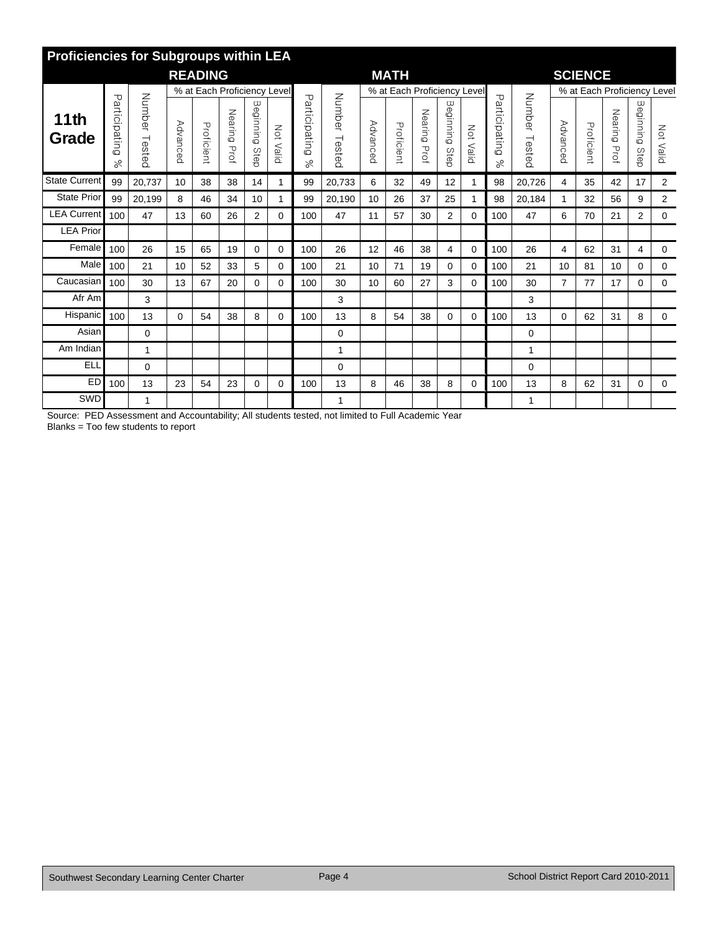|                      | <b>Proficiencies for Subgroups within LEA</b> |                  |          |                             |                 |                   |           |                     |                  |          |                             |                 |                   |              |                            |                  |                |                             |                 |                   |                  |
|----------------------|-----------------------------------------------|------------------|----------|-----------------------------|-----------------|-------------------|-----------|---------------------|------------------|----------|-----------------------------|-----------------|-------------------|--------------|----------------------------|------------------|----------------|-----------------------------|-----------------|-------------------|------------------|
|                      |                                               |                  |          | <b>READING</b>              |                 |                   |           |                     |                  |          | <b>MATH</b>                 |                 |                   |              |                            |                  |                | <b>SCIENCE</b>              |                 |                   |                  |
|                      |                                               |                  |          | % at Each Proficiency Level |                 |                   |           |                     |                  |          | % at Each Proficiency Level |                 |                   |              |                            |                  |                | % at Each Proficiency Level |                 |                   |                  |
| 11th<br>Grade        | Particip<br>puțing<br>ಸ                       | Number<br>Tested | Advanced | Proficient                  | Nearing<br>Prof | Beginning<br>Step | Not Valid | Participating<br>Se | Number<br>Testec | Advanced | Proficient                  | Nearing<br>Prof | Beginning<br>Step | Not Valic    | Participating<br>$\approx$ | Number<br>Tested | Advanced       | Proficient                  | Nearing<br>Prof | Beginning<br>Step | <b>Not Valid</b> |
| <b>State Current</b> | 99                                            | 20,737           | 10       | 38                          | 38              | 14                | 1         | 99                  | 20,733           | 6        | 32                          | 49              | 12                |              | 98                         | 20,726           | 4              | 35                          | 42              | 17                | $\overline{2}$   |
| <b>State Prior</b>   | 99                                            | 20,199           | 8        | 46                          | 34              | 10                | 1         | 99                  | 20,190           | 10       | 26                          | 37              | 25                |              | 98                         | 20,184           | 1              | 32                          | 56              | 9                 | 2                |
| <b>LEA Current</b>   | 100                                           | 47               | 13       | 60                          | 26              | $\overline{2}$    | $\Omega$  | 100                 | 47               | 11       | 57                          | 30              | $\overline{2}$    | 0            | 100                        | 47               | 6              | 70                          | 21              | 2                 | 0                |
| <b>LEA Prior</b>     |                                               |                  |          |                             |                 |                   |           |                     |                  |          |                             |                 |                   |              |                            |                  |                |                             |                 |                   |                  |
| Female               | 100                                           | 26               | 15       | 65                          | 19              | 0                 | 0         | 100                 | 26               | 12       | 46                          | 38              | 4                 | $\mathbf 0$  | 100                        | 26               | 4              | 62                          | 31              | 4                 | 0                |
| Male                 | 100                                           | 21               | 10       | 52                          | 33              | 5                 | 0         | 100                 | 21               | 10       | 71                          | 19              | 0                 | $\mathbf{0}$ | 100                        | 21               | 10             | 81                          | 10              | 0                 | 0                |
| Caucasian            | 100                                           | 30               | 13       | 67                          | 20              | 0                 | $\Omega$  | 100                 | 30               | 10       | 60                          | 27              | 3                 | 0            | 100                        | 30               | $\overline{7}$ | 77                          | 17              | 0                 | $\mathbf 0$      |
| Afr Am               |                                               | 3                |          |                             |                 |                   |           |                     | 3                |          |                             |                 |                   |              |                            | 3                |                |                             |                 |                   |                  |
| Hispanic             | 100                                           | 13               | 0        | 54                          | 38              | 8                 | 0         | 100                 | 13               | 8        | 54                          | 38              | 0                 | 0            | 100                        | 13               | 0              | 62                          | 31              | 8                 | 0                |
| Asian                |                                               | 0                |          |                             |                 |                   |           |                     | 0                |          |                             |                 |                   |              |                            | $\Omega$         |                |                             |                 |                   |                  |
| Am Indian            |                                               | 1                |          |                             |                 |                   |           |                     | 1                |          |                             |                 |                   |              |                            | -1               |                |                             |                 |                   |                  |
| <b>ELL</b>           |                                               | 0                |          |                             |                 |                   |           |                     | 0                |          |                             |                 |                   |              |                            | $\mathbf 0$      |                |                             |                 |                   |                  |
| <b>ED</b>            | 100                                           | 13               | 23       | 54                          | 23              | 0                 | 0         | 100                 | 13               | 8        | 46                          | 38              | 8                 | 0            | 100                        | 13               | 8              | 62                          | 31              | 0                 | 0                |
| SWD                  |                                               | 1                |          |                             |                 |                   |           |                     | 1                |          |                             |                 |                   |              |                            | 1                |                |                             |                 |                   |                  |

Source: PED Assessment and Accountability; All students tested, not limited to Full Academic Year Blanks = Too few students to report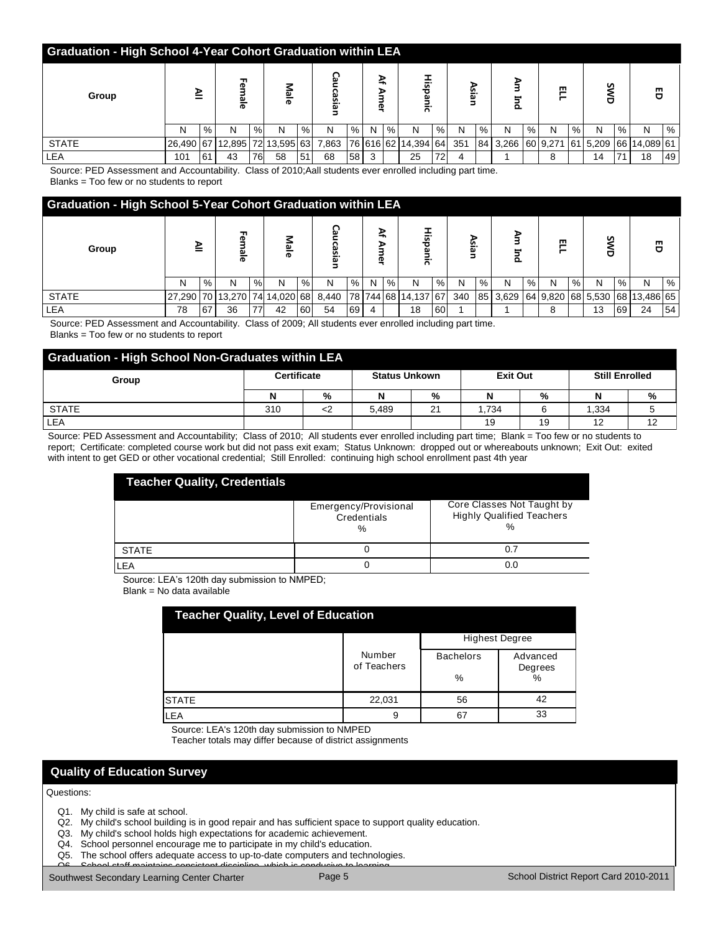| <b>Graduation - High School 4-Year Cohort Graduation within LEA</b> |           |      |             |      |              |                    |            |    |             |   |                     |               |              |   |          |      |          |   |    |   |                       |    |
|---------------------------------------------------------------------|-----------|------|-------------|------|--------------|--------------------|------------|----|-------------|---|---------------------|---------------|--------------|---|----------|------|----------|---|----|---|-----------------------|----|
| Group                                                               | ≧         |      | ╖<br>உ<br>ಹ |      | Male         |                    | ဌ<br>casia |    | ≩<br>ъ<br>Φ |   | 하.<br>C             |               | ⋗<br>≌.<br>ω |   | ⋗<br>o.  |      | 罒        |   | ທ  |   | 晋                     |    |
|                                                                     | N         | $\%$ | N           | $\%$ | N            | $\%$               | N          | %  | N           | % | N                   | $\frac{9}{6}$ | N            | % | N        | $\%$ | N        | % | N  | % | N                     | %  |
| <b>STATE</b>                                                        | 26,490 67 |      | 12,895      |      | 72 13,595 63 |                    | 7,863      |    |             |   | 76 616 62 14,394 64 |               | 351          |   | 84 3,266 |      | 60 9,271 |   |    |   | 61 5,209 66 14,089 61 |    |
| LEA                                                                 | 101       | 61   | 43          | 76   | 58           | $.51$ <sup>'</sup> | 68         | 58 |             |   | 25                  | 72            |              |   |          |      | 8        |   | 14 |   | 18                    | 49 |

 Source: PED Assessment and Accountability. Class of 2010;Aall students ever enrolled including part time. Blanks = Too few or no students to report

**Graduation - High School 5-Year Cohort Graduation within LEA All Female Male Caucasian Af Amer Hispanic Asian Am Ind ELL SWD Group** N |%| N |%| N |%| N |%| N |%| N |%| N |%| N |%| N |%| N |%| N |% STATE 27,290 70 | 13,270 74 14,020 68 | 8,440 | 78 | 744 | 68 | 14,137 | 67 | 340 | 85 | 3,629 | 64 | 9,820 | 68 | 5,530 | 68 | 13,486 | 65 LEA 78 67 36 77 42 60 54 69 4 18 60 1 1 8 13 69 24 54

 Source: PED Assessment and Accountability. Class of 2009; All students ever enrolled including part time. Blanks = Too few or no students to report

| <b>Graduation - High School Non-Graduates within LEA</b> |                    |   |                      |    |                 |    |                       |    |  |  |
|----------------------------------------------------------|--------------------|---|----------------------|----|-----------------|----|-----------------------|----|--|--|
| Group                                                    | <b>Certificate</b> |   | <b>Status Unkown</b> |    | <b>Exit Out</b> |    | <b>Still Enrolled</b> |    |  |  |
|                                                          | N                  | % | N                    | %  |                 | %  | N                     | %  |  |  |
| <b>STATE</b>                                             | 310                |   | 5.489                | 21 | 1.734           |    | 1.334                 |    |  |  |
| LEA                                                      |                    |   |                      |    | 19              | 19 | 12                    | 12 |  |  |

Source: PED Assessment and Accountability; Class of 2010; All students ever enrolled including part time; Blank = Too few or no students to report; Certificate: completed course work but did not pass exit exam; Status Unknown: dropped out or whereabouts unknown; Exit Out: exited with intent to get GED or other vocational credential; Still Enrolled: continuing high school enrollment past 4th year

| <b>Teacher Quality, Credentials</b> |                                           |                                                                        |
|-------------------------------------|-------------------------------------------|------------------------------------------------------------------------|
|                                     | Emergency/Provisional<br>Credentials<br>% | Core Classes Not Taught by<br><b>Highly Qualified Teachers</b><br>$\%$ |
| <b>STATE</b>                        |                                           |                                                                        |
| LEA                                 |                                           | 0.0                                                                    |

Source: LEA's 120th day submission to NMPED;

Blank = No data available

| <b>Teacher Quality, Level of Education</b> |                       |                       |                     |  |  |  |  |
|--------------------------------------------|-----------------------|-----------------------|---------------------|--|--|--|--|
|                                            |                       | <b>Highest Degree</b> |                     |  |  |  |  |
|                                            | Number<br>of Teachers | <b>Bachelors</b>      | Advanced<br>Degrees |  |  |  |  |
|                                            |                       | %                     | %                   |  |  |  |  |
| <b>STATE</b>                               | 22,031                | 56                    | 42                  |  |  |  |  |
| LEA                                        | 9                     | 67                    | 33                  |  |  |  |  |

Source: LEA's 120th day submission to NMPED

Teacher totals may differ because of district assignments

Q8. My child's teacher provides sufficient and appropriate information regarding my child's academic progress.

## **Quality of Education Survey**

### Questions:

Q1. My child is safe at school.

- Q2. My child's school building is in good repair and has sufficient space to support quality education.
- Q3. My child's school holds high expectations for academic achievement.
- Q4. School personnel encourage me to participate in my child's education.
- Q5. The school offers adequate access to up-to-date computers and technologies.

Q6. School staff maintains consistent discipline, which is conducive to learning. Southwest Secondary Learning Center Charter **Charter Page 5** School-sponsored extracts and the school-sponsored extracts and the School District Report Card 2010-2011

**ED**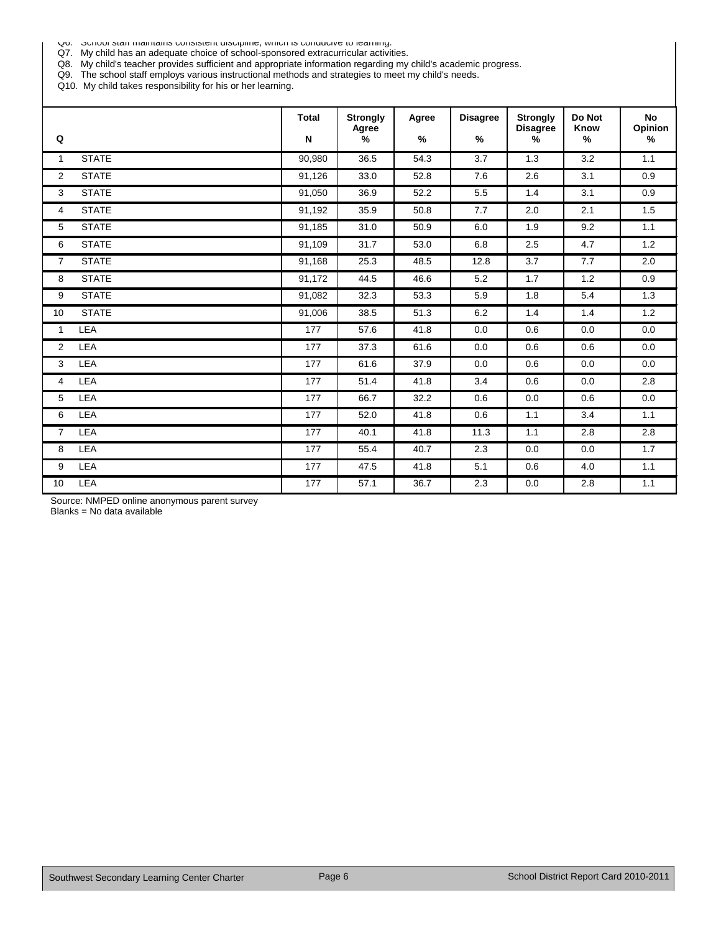Q6. School staff maintains consistent discipline, which is conducive to learning.

Q7. My child has an adequate choice of school-sponsored extracurricular activities.

Q8. My child's teacher provides sufficient and appropriate information regarding my child's academic progress.

Q9. The school staff employs various instructional methods and strategies to meet my child's needs.

Q10. My child takes responsibility for his or her learning.

| Q              |              | <b>Total</b><br>N | <b>Strongly</b><br>Agree<br>% | Agree<br>$\%$ | <b>Disagree</b><br>% | <b>Strongly</b><br><b>Disagree</b><br>% | Do Not<br>Know<br>% | <b>No</b><br>Opinion<br>$\%$ |
|----------------|--------------|-------------------|-------------------------------|---------------|----------------------|-----------------------------------------|---------------------|------------------------------|
| $\mathbf{1}$   | <b>STATE</b> | 90,980            | 36.5                          | 54.3          | 3.7                  | 1.3                                     | 3.2                 | 1.1                          |
| $\overline{2}$ | <b>STATE</b> | 91,126            | 33.0                          | 52.8          | 7.6                  | 2.6                                     | 3.1                 | 0.9                          |
| 3              | <b>STATE</b> | 91,050            | 36.9                          | 52.2          | 5.5                  | 1.4                                     | 3.1                 | 0.9                          |
| 4              | <b>STATE</b> | 91,192            | 35.9                          | 50.8          | 7.7                  | 2.0                                     | 2.1                 | 1.5                          |
| 5              | <b>STATE</b> | 91,185            | 31.0                          | 50.9          | 6.0                  | 1.9                                     | 9.2                 | 1.1                          |
| 6              | <b>STATE</b> | 91,109            | 31.7                          | 53.0          | 6.8                  | 2.5                                     | 4.7                 | 1.2                          |
| $\overline{7}$ | <b>STATE</b> | 91,168            | 25.3                          | 48.5          | 12.8                 | 3.7                                     | 7.7                 | 2.0                          |
| 8              | <b>STATE</b> | 91,172            | 44.5                          | 46.6          | 5.2                  | 1.7                                     | 1.2                 | 0.9                          |
| 9              | <b>STATE</b> | 91,082            | 32.3                          | 53.3          | 5.9                  | 1.8                                     | 5.4                 | 1.3                          |
| 10             | <b>STATE</b> | 91,006            | 38.5                          | 51.3          | 6.2                  | 1.4                                     | 1.4                 | 1.2                          |
| $\mathbf{1}$   | <b>LEA</b>   | 177               | 57.6                          | 41.8          | 0.0                  | 0.6                                     | 0.0                 | 0.0                          |
| $\overline{2}$ | LEA          | 177               | 37.3                          | 61.6          | 0.0                  | 0.6                                     | 0.6                 | 0.0                          |
| 3              | LEA          | 177               | 61.6                          | 37.9          | 0.0                  | 0.6                                     | 0.0                 | 0.0                          |
| 4              | LEA          | 177               | 51.4                          | 41.8          | 3.4                  | 0.6                                     | 0.0                 | 2.8                          |
| 5              | LEA          | 177               | 66.7                          | 32.2          | 0.6                  | 0.0                                     | 0.6                 | 0.0                          |
| 6              | LEA          | 177               | 52.0                          | 41.8          | 0.6                  | 1.1                                     | 3.4                 | 1.1                          |
| $\overline{7}$ | LEA          | 177               | 40.1                          | 41.8          | 11.3                 | 1.1                                     | 2.8                 | 2.8                          |
| 8              | LEA          | 177               | 55.4                          | 40.7          | 2.3                  | 0.0                                     | 0.0                 | 1.7                          |
| 9              | LEA          | 177               | 47.5                          | 41.8          | 5.1                  | 0.6                                     | 4.0                 | 1.1                          |
| 10             | LEA          | 177               | 57.1                          | 36.7          | 2.3                  | 0.0                                     | 2.8                 | 1.1                          |

Source: NMPED online anonymous parent survey

Blanks = No data available